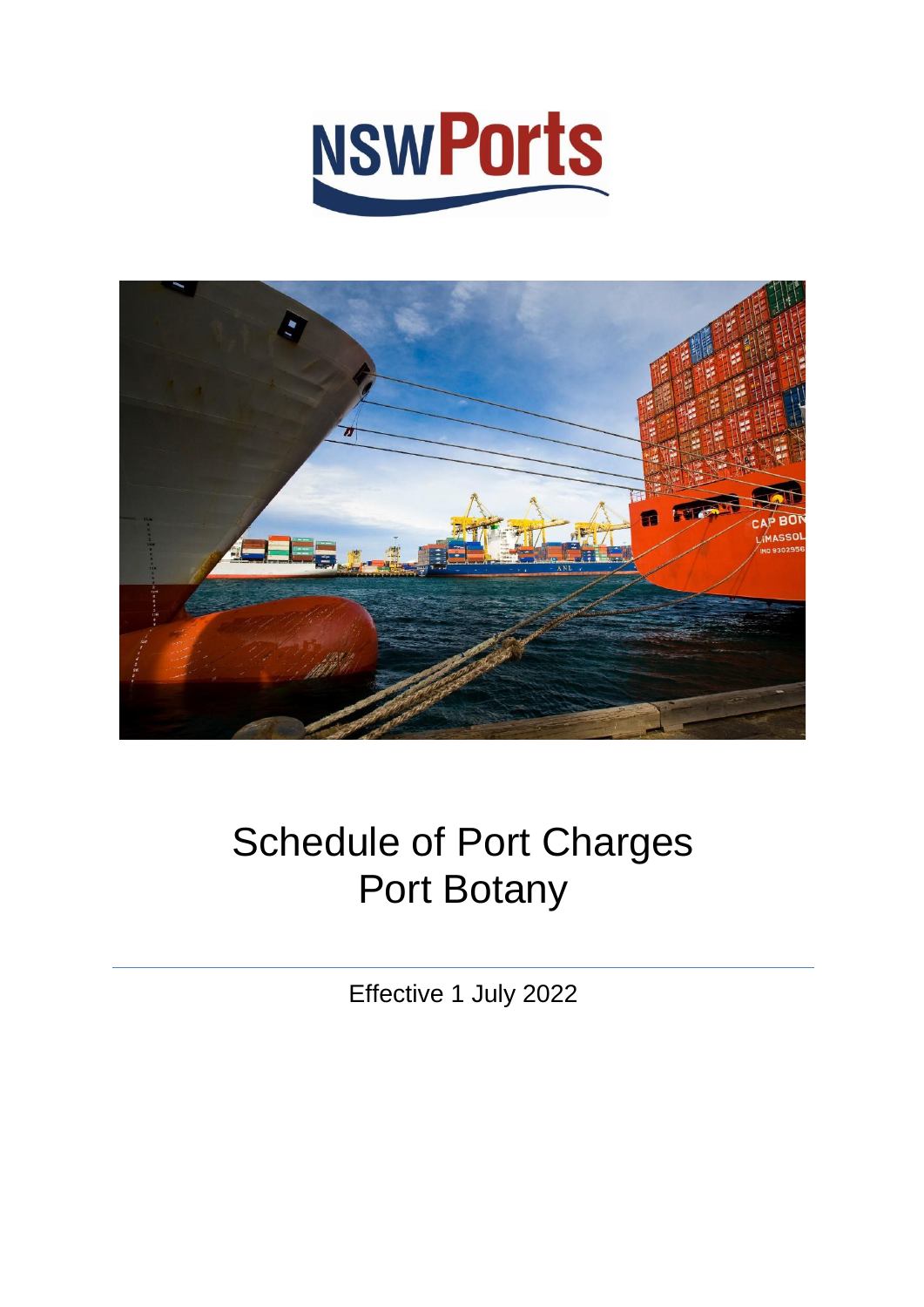



# Schedule of Port Charges Port Botany

Effective 1 July 2022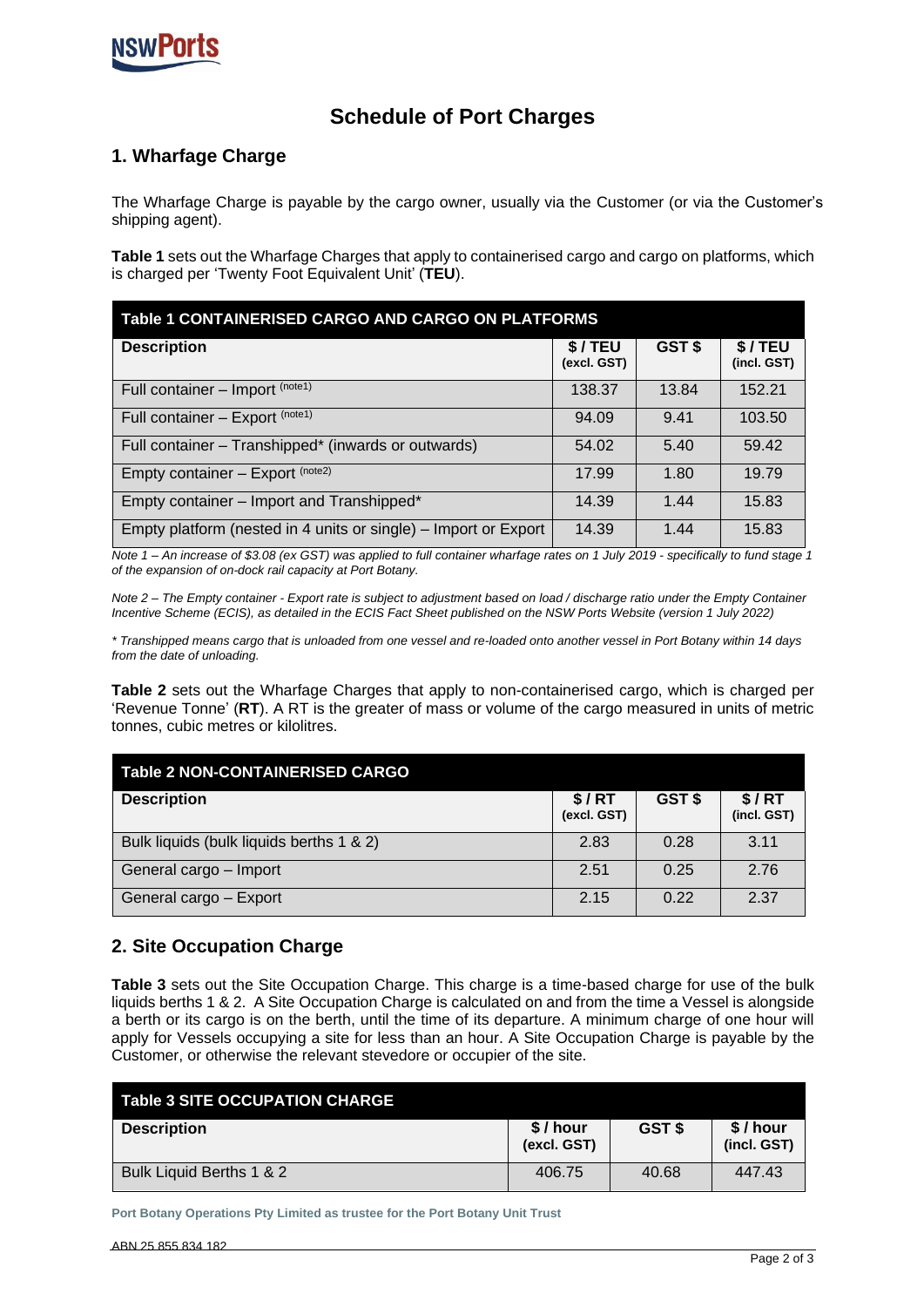

# **Schedule of Port Charges**

# **1. Wharfage Charge**

The Wharfage Charge is payable by the cargo owner, usually via the Customer (or via the Customer's shipping agent).

**Table 1** sets out the Wharfage Charges that apply to containerised cargo and cargo on platforms, which is charged per 'Twenty Foot Equivalent Unit' (**TEU**).

| Table 1 CONTAINERISED CARGO AND CARGO ON PLATFORMS              |                       |        |                       |  |  |
|-----------------------------------------------------------------|-----------------------|--------|-----------------------|--|--|
| <b>Description</b>                                              | \$/TEU<br>(excl. GST) | GST \$ | \$/TEU<br>(incl. GST) |  |  |
| Full container - Import (note1)                                 | 138.37                | 13.84  | 152.21                |  |  |
| Full container - Export (note1)                                 | 94.09                 | 9.41   | 103.50                |  |  |
| Full container - Transhipped* (inwards or outwards)             | 54.02                 | 5.40   | 59.42                 |  |  |
| Empty container - Export (note2)                                | 17.99                 | 1.80   | 19.79                 |  |  |
| Empty container - Import and Transhipped*                       | 14.39                 | 1.44   | 15.83                 |  |  |
| Empty platform (nested in 4 units or single) - Import or Export | 14.39                 | 1.44   | 15.83                 |  |  |

*Note 1 – An increase of \$3.08 (ex GST) was applied to full container wharfage rates on 1 July 2019 - specifically to fund stage 1 of the expansion of on-dock rail capacity at Port Botany.*

*Note 2 – The Empty container - Export rate is subject to adjustment based on load / discharge ratio under the Empty Container Incentive Scheme (ECIS), as detailed in the ECIS Fact Sheet published on the NSW Ports Website (version 1 July 2022)*

*\* Transhipped means cargo that is unloaded from one vessel and re-loaded onto another vessel in Port Botany within 14 days from the date of unloading.*

**Table 2** sets out the Wharfage Charges that apply to non-containerised cargo, which is charged per 'Revenue Tonne' (**RT**). A RT is the greater of mass or volume of the cargo measured in units of metric tonnes, cubic metres or kilolitres.

| <b>Table 2 NON-CONTAINERISED CARGO</b>   |                      |        |                      |
|------------------------------------------|----------------------|--------|----------------------|
| <b>Description</b>                       | \$/RT<br>(excl. GST) | GST \$ | \$/RT<br>(incl. GST) |
| Bulk liquids (bulk liquids berths 1 & 2) | 2.83                 | 0.28   | 3.11                 |
| General cargo - Import                   | 2.51                 | 0.25   | 2.76                 |
| General cargo - Export                   | 2.15                 | 0.22   | 2.37                 |

# **2. Site Occupation Charge**

**Table 3** sets out the Site Occupation Charge. This charge is a time-based charge for use of the bulk liquids berths 1 & 2. A Site Occupation Charge is calculated on and from the time a Vessel is alongside a berth or its cargo is on the berth, until the time of its departure. A minimum charge of one hour will apply for Vessels occupying a site for less than an hour. A Site Occupation Charge is payable by the Customer, or otherwise the relevant stevedore or occupier of the site.

| Table 3 SITE OCCUPATION CHARGE |                          |        |                        |
|--------------------------------|--------------------------|--------|------------------------|
| <b>Description</b>             | $$/$ hour<br>(excl. GST) | GST \$ | \$/hour<br>(incl. GST) |
| Bulk Liquid Berths 1 & 2       | 406.75                   | 40.68  | 447.43                 |

**Port Botany Operations Pty Limited as trustee for the Port Botany Unit Trust**